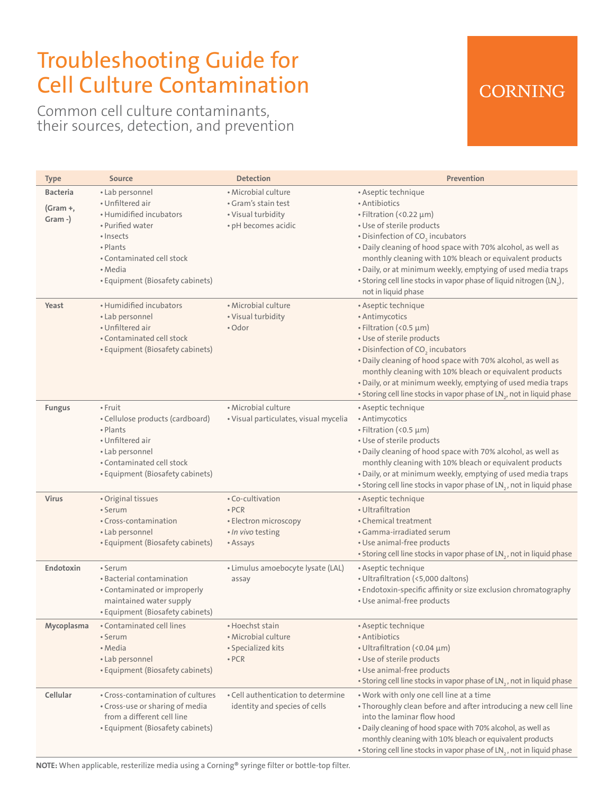# Troubleshooting Guide for Cell Culture Contamination

Common cell culture contaminants, their sources, detection, and prevention

### **CORNING**

| Type                 | <b>Source</b>                                                                                                                                                        | <b>Detection</b>                                                                          | <b>Prevention</b>                                                                                                                                                                                                                                                                                                                                                                                                                    |
|----------------------|----------------------------------------------------------------------------------------------------------------------------------------------------------------------|-------------------------------------------------------------------------------------------|--------------------------------------------------------------------------------------------------------------------------------------------------------------------------------------------------------------------------------------------------------------------------------------------------------------------------------------------------------------------------------------------------------------------------------------|
| <b>Bacteria</b>      | • Lab personnel                                                                                                                                                      | • Microbial culture                                                                       | • Aseptic technique                                                                                                                                                                                                                                                                                                                                                                                                                  |
| $(Gram +,$<br>Gram-) | • Unfiltered air<br>• Humidified incubators<br>• Purified water<br>· Insects<br>• Plants<br>• Contaminated cell stock<br>• Media<br>• Equipment (Biosafety cabinets) | • Gram's stain test<br>• Visual turbidity<br>• pH becomes acidic                          | • Antibiotics<br>$\cdot$ Filtration (<0.22 $\mu$ m)<br>· Use of sterile products<br>• Disinfection of CO <sub>2</sub> incubators<br>. Daily cleaning of hood space with 70% alcohol, as well as<br>monthly cleaning with 10% bleach or equivalent products<br>. Daily, or at minimum weekly, emptying of used media traps<br>• Storing cell line stocks in vapor phase of liquid nitrogen (LN <sub>2</sub> ),<br>not in liquid phase |
| Yeast                | • Humidified incubators<br>• Lab personnel<br>• Unfiltered air<br>• Contaminated cell stock<br>• Equipment (Biosafety cabinets)                                      | · Microbial culture<br>• Visual turbidity<br>• Odor                                       | • Aseptic technique<br>• Antimycotics<br>• Filtration (<0.5 µm)<br>· Use of sterile products<br>• Disinfection of CO <sub>2</sub> incubators<br>. Daily cleaning of hood space with 70% alcohol, as well as<br>monthly cleaning with 10% bleach or equivalent products<br>. Daily, or at minimum weekly, emptying of used media traps<br>• Storing cell line stocks in vapor phase of LN <sub>2</sub> , not in liquid phase          |
| <b>Fungus</b>        | • Fruit<br>• Cellulose products (cardboard)<br>• Plants<br>• Unfiltered air<br>• Lab personnel<br>• Contaminated cell stock<br>• Equipment (Biosafety cabinets)      | · Microbial culture<br>• Visual particulates, visual mycelia                              | • Aseptic technique<br>• Antimycotics<br>• Filtration (<0.5 µm)<br>• Use of sterile products<br>. Daily cleaning of hood space with 70% alcohol, as well as<br>monthly cleaning with 10% bleach or equivalent products<br>. Daily, or at minimum weekly, emptying of used media traps<br>• Storing cell line stocks in vapor phase of LN <sub>2</sub> , not in liquid phase                                                          |
| <b>Virus</b>         | • Original tissues<br>• Serum<br>• Cross-contamination<br>• Lab personnel<br>• Equipment (Biosafety cabinets)                                                        | • Co-cultivation<br>$\cdot$ PCR<br>• Electron microscopy<br>• In vivo testing<br>• Assays | • Aseptic technique<br>• Ultrafiltration<br>• Chemical treatment<br>• Gamma-irradiated serum<br>• Use animal-free products<br>• Storing cell line stocks in vapor phase of LN <sub>2</sub> , not in liquid phase                                                                                                                                                                                                                     |
| Endotoxin            | • Serum<br>• Bacterial contamination<br>• Contaminated or improperly<br>maintained water supply<br>• Equipment (Biosafety cabinets)                                  | • Limulus amoebocyte lysate (LAL)<br>assay                                                | • Aseptic technique<br>• Ultrafiltration (<5,000 daltons)<br>• Endotoxin-specific affinity or size exclusion chromatography<br>• Use animal-free products                                                                                                                                                                                                                                                                            |
| Mycoplasma           | • Contaminated cell lines<br>• Serum<br>• Media<br>• Lab personnel<br>• Equipment (Biosafety cabinets)                                                               | • Hoechst stain<br>• Microbial culture<br>• Specialized kits<br>$\cdot$ PCR               | • Aseptic technique<br>• Antibiotics<br>• Ultrafiltration (<0.04 µm)<br>• Use of sterile products<br>• Use animal-free products<br>• Storing cell line stocks in vapor phase of LN <sub>2</sub> , not in liquid phase                                                                                                                                                                                                                |
| Cellular             | • Cross-contamination of cultures<br>• Cross-use or sharing of media<br>from a different cell line<br>• Equipment (Biosafety cabinets)                               | • Cell authentication to determine<br>identity and species of cells                       | . Work with only one cell line at a time<br>. Thoroughly clean before and after introducing a new cell line<br>into the laminar flow hood<br>. Daily cleaning of hood space with 70% alcohol, as well as<br>monthly cleaning with 10% bleach or equivalent products<br>• Storing cell line stocks in vapor phase of LN <sub>2</sub> , not in liquid phase                                                                            |